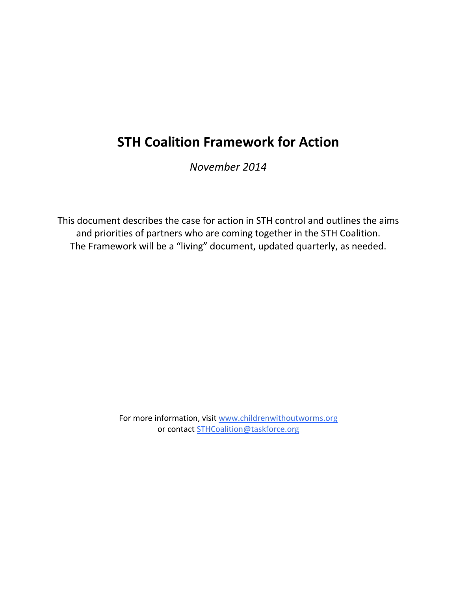*November 2014*

This document describes the case for action in STH control and outlines the aims and priorities of partners who are coming together in the STH Coalition. The Framework will be a "living" document, updated quarterly, as needed.

> For more information, visit www.childrenwithoutworms.org or contact STHCoalition@taskforce.org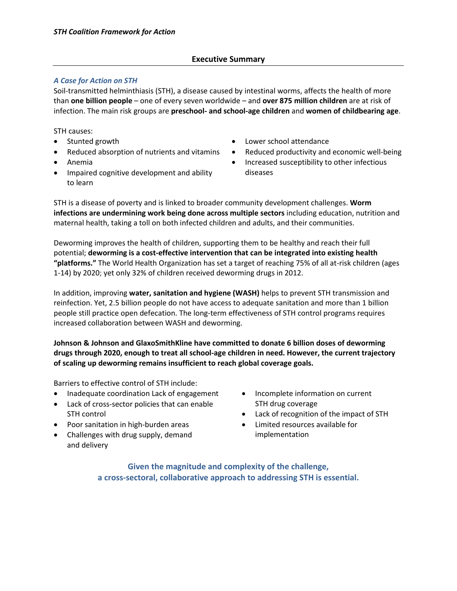### **Executive Summary**

### *A Case for Action on STH*

Soil-transmitted helminthiasis (STH), a disease caused by intestinal worms, affects the health of more than **one billion people** – one of every seven worldwide – and **over 875 million children** are at risk of infection. The main risk groups are **preschool- and school-age children** and **women of childbearing age**.

STH causes:

- Stunted growth
- Reduced absorption of nutrients and vitamins
- Anemia
- Impaired cognitive development and ability to learn
- Lower school attendance
- Reduced productivity and economic well-being
- Increased susceptibility to other infectious diseases

STH is a disease of poverty and is linked to broader community development challenges. **Worm infections are undermining work being done across multiple sectors** including education, nutrition and maternal health, taking a toll on both infected children and adults, and their communities.

Deworming improves the health of children, supporting them to be healthy and reach their full potential; **deworming is a cost-effective intervention that can be integrated into existing health "platforms."** The World Health Organization has set a target of reaching 75% of all at-risk children (ages 1-14) by 2020; yet only 32% of children received deworming drugs in 2012.

In addition, improving **water, sanitation and hygiene (WASH)** helps to prevent STH transmission and reinfection. Yet, 2.5 billion people do not have access to adequate sanitation and more than 1 billion people still practice open defecation. The long-term effectiveness of STH control programs requires increased collaboration between WASH and deworming.

**Johnson & Johnson and GlaxoSmithKline have committed to donate 6 billion doses of deworming drugs through 2020, enough to treat all school-age children in need. However, the current trajectory of scaling up deworming remains insufficient to reach global coverage goals.** 

Barriers to effective control of STH include:

- Inadequate coordination Lack of engagement
- Lack of cross-sector policies that can enable STH control
- Poor sanitation in high-burden areas
- Challenges with drug supply, demand and delivery
- Incomplete information on current STH drug coverage
- Lack of recognition of the impact of STH
- Limited resources available for implementation

**Given the magnitude and complexity of the challenge, a cross-sectoral, collaborative approach to addressing STH is essential.**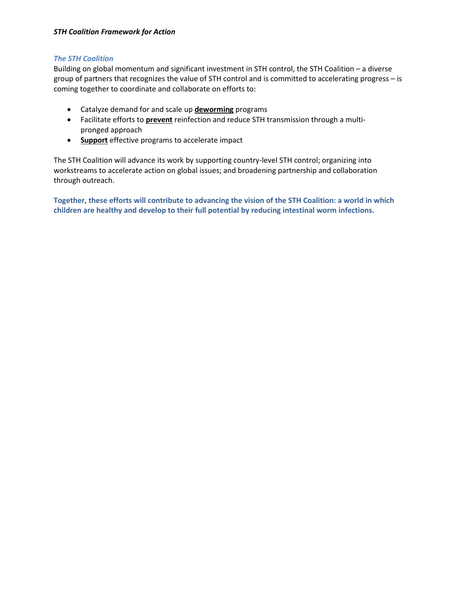### *The STH Coalition*

Building on global momentum and significant investment in STH control, the STH Coalition – a diverse group of partners that recognizes the value of STH control and is committed to accelerating progress – is coming together to coordinate and collaborate on efforts to:

- Catalyze demand for and scale up **deworming** programs
- Facilitate efforts to **prevent** reinfection and reduce STH transmission through a multipronged approach
- **Support** effective programs to accelerate impact

The STH Coalition will advance its work by supporting country-level STH control; organizing into workstreams to accelerate action on global issues; and broadening partnership and collaboration through outreach.

**Together, these efforts will contribute to advancing the vision of the STH Coalition: a world in which children are healthy and develop to their full potential by reducing intestinal worm infections.**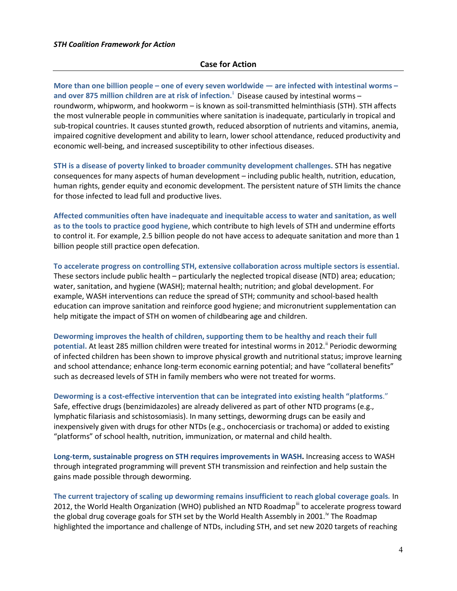### **Case for Action**

**More than one billion people – one of every seven worldwide — are infected with intestinal worms – and over 875 million children are at risk of infection. <sup>i</sup>** Disease caused by intestinal worms – roundworm, whipworm, and hookworm – is known as soil-transmitted helminthiasis (STH). STH affects the most vulnerable people in communities where sanitation is inadequate, particularly in tropical and sub-tropical countries. It causes stunted growth, reduced absorption of nutrients and vitamins, anemia, impaired cognitive development and ability to learn, lower school attendance, reduced productivity and economic well-being, and increased susceptibility to other infectious diseases.

**STH is a disease of poverty linked to broader community development challenges.** STH has negative consequences for many aspects of human development – including public health, nutrition, education, human rights, gender equity and economic development. The persistent nature of STH limits the chance for those infected to lead full and productive lives.

**Affected communities often have inadequate and inequitable access to water and sanitation, as well as to the tools to practice good hygiene**, which contribute to high levels of STH and undermine efforts to control it. For example, 2.5 billion people do not have access to adequate sanitation and more than 1 billion people still practice open defecation.

**To accelerate progress on controlling STH, extensive collaboration across multiple sectors is essential.** These sectors include public health – particularly the neglected tropical disease (NTD) area; education; water, sanitation, and hygiene (WASH); maternal health; nutrition; and global development. For example, WASH interventions can reduce the spread of STH; community and school-based health education can improve sanitation and reinforce good hygiene; and micronutrient supplementation can help mitigate the impact of STH on women of childbearing age and children.

**Deworming improves the health of children, supporting them to be healthy and reach their full**  potential. At least 285 million children were treated for intestinal worms in 2012.<sup>"</sup> Periodic deworming of infected children has been shown to improve physical growth and nutritional status; improve learning and school attendance; enhance long-term economic earning potential; and have "collateral benefits" such as decreased levels of STH in family members who were not treated for worms.

**Deworming is a cost-effective intervention that can be integrated into existing health "platforms**."

Safe, effective drugs (benzimidazoles) are already delivered as part of other NTD programs (e.g., lymphatic filariasis and schistosomiasis). In many settings, deworming drugs can be easily and inexpensively given with drugs for other NTDs (e.g., onchocerciasis or trachoma) or added to existing "platforms" of school health, nutrition, immunization, or maternal and child health.

**Long-term, sustainable progress on STH requires improvements in WASH.** Increasing access to WASH through integrated programming will prevent STH transmission and reinfection and help sustain the gains made possible through deworming.

**The current trajectory of scaling up deworming remains insufficient to reach global coverage goals***.* In 2012, the World Health Organization (WHO) published an NTD Roadmap<sup>iii</sup> to accelerate progress toward the global drug coverage goals for STH set by the World Health Assembly in 2001.<sup>iv</sup> The Roadmap highlighted the importance and challenge of NTDs, including STH, and set new 2020 targets of reaching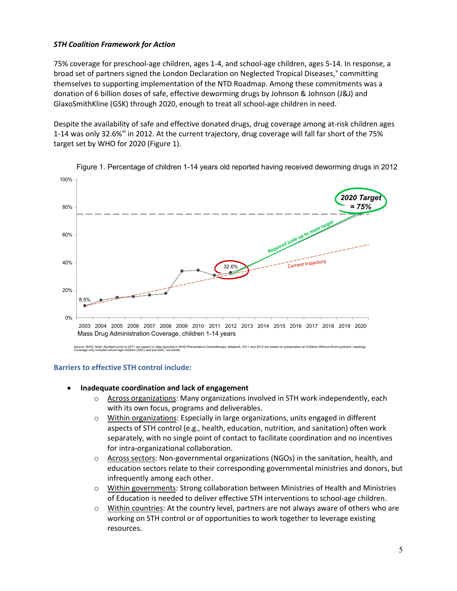75% coverage for preschool-age children, ages 1-4, and school-age children, ages 5-14. In response, a broad set of partners signed the London Declaration on Neglected Tropical Diseases, committing themselves to supporting implementation of the NTD Roadmap. Among these commitments was a donation of 6 billion doses of safe, effective deworming drugs by Johnson & Johnson (J&J) and GlaxoSmithKline (GSK) through 2020, enough to treat all school-age children in need.

Despite the availability of safe and effective donated drugs, drug coverage among at-risk children ages 1-14 was only 32.6%<sup>vi</sup> in 2012. At the current trajectory, drug coverage will fall far short of the 75% target set by WHO for 2020 (Figure 1).



Figure 1. Percentage of children 1-14 years old reported having received deworming drugs in 2012

### **Barriers to effective STH control include***:*

- **Inadequate coordination and lack of engagement**
	- $\circ$  Across organizations: Many organizations involved in STH work independently, each with its own focus, programs and deliverables.
	- $\circ$  Within organizations: Especially in large organizations, units engaged in different aspects of STH control (e.g., health, education, nutrition, and sanitation) often work separately, with no single point of contact to facilitate coordination and no incentives for intra-organizational collaboration.
	- Across sectors: Non-governmental organizations (NGOs) in the sanitation, health, and education sectors relate to their corresponding governmental ministries and donors, but infrequently among each other.
	- $\circ$  Within governments: Strong collaboration between Ministries of Health and Ministries of Education is needed to deliver effective STH interventions to school-age children.
	- $\circ$  Within countries: At the country level, partners are not always aware of others who are working on STH control or of opportunities to work together to leverage existing resources.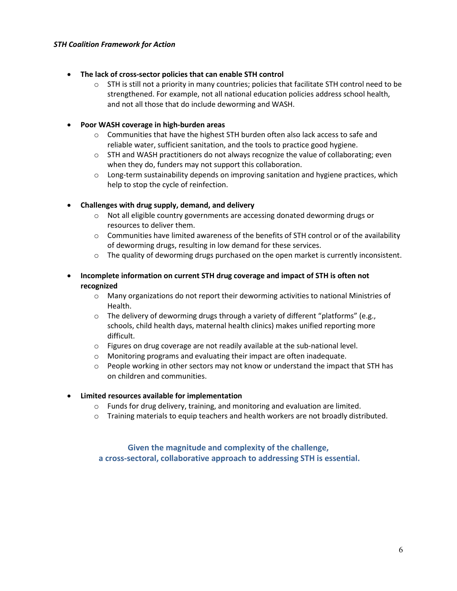### • **The lack of cross-sector policies that can enable STH control**

 $\circ$  STH is still not a priority in many countries; policies that facilitate STH control need to be strengthened. For example, not all national education policies address school health, and not all those that do include deworming and WASH.

### • **Poor WASH coverage in high-burden areas**

- $\circ$  Communities that have the highest STH burden often also lack access to safe and reliable water, sufficient sanitation, and the tools to practice good hygiene.
- o STH and WASH practitioners do not always recognize the value of collaborating; even when they do, funders may not support this collaboration.
- $\circ$  Long-term sustainability depends on improving sanitation and hygiene practices, which help to stop the cycle of reinfection.

### • **Challenges with drug supply, demand, and delivery**

- o Not all eligible country governments are accessing donated deworming drugs or resources to deliver them.
- $\circ$  Communities have limited awareness of the benefits of STH control or of the availability of deworming drugs, resulting in low demand for these services.
- $\circ$  The quality of deworming drugs purchased on the open market is currently inconsistent.
- **Incomplete information on current STH drug coverage and impact of STH is often not recognized**
	- o Many organizations do not report their deworming activities to national Ministries of Health.
	- $\circ$  The delivery of deworming drugs through a variety of different "platforms" (e.g., schools, child health days, maternal health clinics) makes unified reporting more difficult.
	- o Figures on drug coverage are not readily available at the sub-national level.
	- o Monitoring programs and evaluating their impact are often inadequate.
	- $\circ$  People working in other sectors may not know or understand the impact that STH has on children and communities.

### • **Limited resources available for implementation**

- o Funds for drug delivery, training, and monitoring and evaluation are limited.
- $\circ$  Training materials to equip teachers and health workers are not broadly distributed.

### **Given the magnitude and complexity of the challenge, a cross-sectoral, collaborative approach to addressing STH is essential.**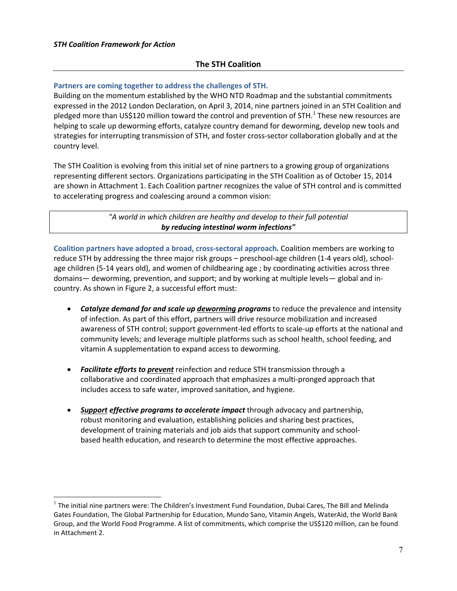### **The STH Coalition**

### **Partners are coming together to address the challenges of STH.**

Building on the momentum established by the WHO NTD Roadmap and the substantial commitments expressed in the 2012 London Declaration, on April 3, 2014, nine partners joined in an STH Coalition and pledged more than US\$120 million toward the control and prevention of STH.<sup>1</sup> These new resources are helping to scale up deworming efforts, catalyze country demand for deworming, develop new tools and strategies for interrupting transmission of STH, and foster cross-sector collaboration globally and at the country level.

The STH Coalition is evolving from this initial set of nine partners to a growing group of organizations representing different sectors. Organizations participating in the STH Coalition as of October 15, 2014 are shown in Attachment 1. Each Coalition partner recognizes the value of STH control and is committed to accelerating progress and coalescing around a common vision:

> *"A world in which children are healthy and develop to their full potential by reducing intestinal worm infections"*

**Coalition partners have adopted a broad, cross-sectoral approach***.* Coalition members are working to reduce STH by addressing the three major risk groups – preschool-age children (1-4 years old), schoolage children (5-14 years old), and women of childbearing age ; by coordinating activities across three domains— deworming, prevention, and support; and by working at multiple levels— global and incountry. As shown in Figure 2, a successful effort must:

- *Catalyze demand for and scale up deworming programs* to reduce the prevalence and intensity of infection. As part of this effort, partners will drive resource mobilization and increased awareness of STH control; support government-led efforts to scale-up efforts at the national and community levels; and leverage multiple platforms such as school health, school feeding, and vitamin A supplementation to expand access to deworming.
- *Facilitate efforts to prevent* reinfection and reduce STH transmission through a collaborative and coordinated approach that emphasizes a multi-pronged approach that includes access to safe water, improved sanitation, and hygiene.
- *Support effective programs to accelerate impact* through advocacy and partnership, robust monitoring and evaluation, establishing policies and sharing best practices, development of training materials and job aids that support community and schoolbased health education, and research to determine the most effective approaches.

 $<sup>1</sup>$  The initial nine partners were: The Children's Investment Fund Foundation, Dubai Cares, The Bill and Melinda</sup> Gates Foundation, The Global Partnership for Education, Mundo Sano, Vitamin Angels, WaterAid, the World Bank Group, and the World Food Programme. A list of commitments, which comprise the US\$120 million, can be found in Attachment 2.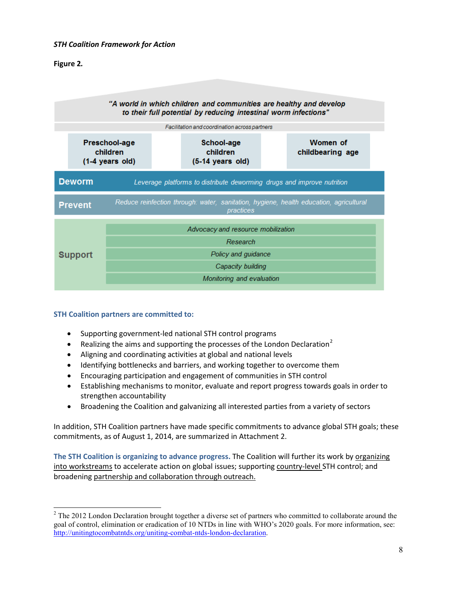### **Figure 2***.*



### **STH Coalition partners are committed to:**

- Supporting government-led national STH control programs
- Realizing the aims and supporting the processes of the London Declaration<sup>2</sup>
- Aligning and coordinating activities at global and national levels
- Identifying bottlenecks and barriers, and working together to overcome them
- Encouraging participation and engagement of communities in STH control
- Establishing mechanisms to monitor, evaluate and report progress towards goals in order to strengthen accountability
- Broadening the Coalition and galvanizing all interested parties from a variety of sectors

In addition, STH Coalition partners have made specific commitments to advance global STH goals; these commitments, as of August 1, 2014, are summarized in Attachment 2.

**The STH Coalition is organizing to advance progress.** The Coalition will further its work by organizing into workstreams to accelerate action on global issues; supporting country-level STH control; and broadening partnership and collaboration through outreach.

<sup>&</sup>lt;sup>2</sup> The 2012 London Declaration brought together a diverse set of partners who committed to collaborate around the goal of control, elimination or eradication of 10 NTDs in line with WHO's 2020 goals. For more information, see: http://unitingtocombatntds.org/uniting-combat-ntds-london-declaration.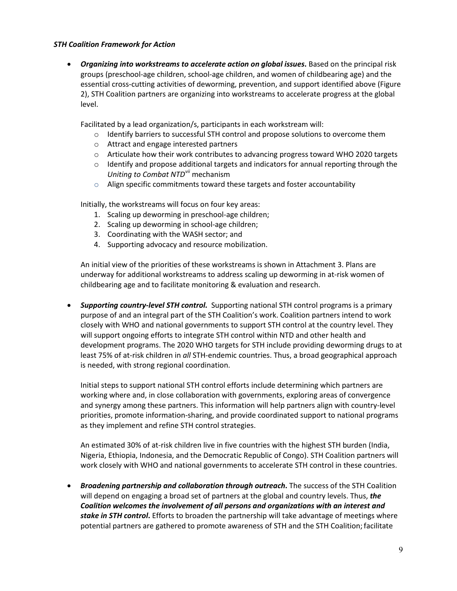• *Organizing into workstreams to accelerate action on global issues***.** Based on the principal risk groups (preschool-age children, school-age children, and women of childbearing age) and the essential cross-cutting activities of deworming, prevention, and support identified above (Figure 2), STH Coalition partners are organizing into workstreams to accelerate progress at the global level.

Facilitated by a lead organization/s, participants in each workstream will:

- $\circ$  Identify barriers to successful STH control and propose solutions to overcome them
- o Attract and engage interested partners
- o Articulate how their work contributes to advancing progress toward WHO 2020 targets
- $\circ$  Identify and propose additional targets and indicators for annual reporting through the *Uniting to Combat NTDvii* mechanism
- o Align specific commitments toward these targets and foster accountability

Initially, the workstreams will focus on four key areas:

- 1. Scaling up deworming in preschool-age children;
- 2. Scaling up deworming in school-age children;
- 3. Coordinating with the WASH sector; and
- 4. Supporting advocacy and resource mobilization.

An initial view of the priorities of these workstreams is shown in Attachment 3. Plans are underway for additional workstreams to address scaling up deworming in at-risk women of childbearing age and to facilitate monitoring & evaluation and research.

• *Supporting country-level STH control.* Supporting national STH control programs is a primary purpose of and an integral part of the STH Coalition's work. Coalition partners intend to work closely with WHO and national governments to support STH control at the country level. They will support ongoing efforts to integrate STH control within NTD and other health and development programs. The 2020 WHO targets for STH include providing deworming drugs to at least 75% of at-risk children in *all* STH-endemic countries. Thus, a broad geographical approach is needed, with strong regional coordination.

Initial steps to support national STH control efforts include determining which partners are working where and, in close collaboration with governments, exploring areas of convergence and synergy among these partners. This information will help partners align with country-level priorities, promote information-sharing, and provide coordinated support to national programs as they implement and refine STH control strategies.

An estimated 30% of at-risk children live in five countries with the highest STH burden (India, Nigeria, Ethiopia, Indonesia, and the Democratic Republic of Congo). STH Coalition partners will work closely with WHO and national governments to accelerate STH control in these countries.

• *Broadening partnership and collaboration through outreach***.** The success of the STH Coalition will depend on engaging a broad set of partners at the global and country levels. Thus, *the Coalition welcomes the involvement of all persons and organizations with an interest and stake in STH control***.** Efforts to broaden the partnership will take advantage of meetings where potential partners are gathered to promote awareness of STH and the STH Coalition; facilitate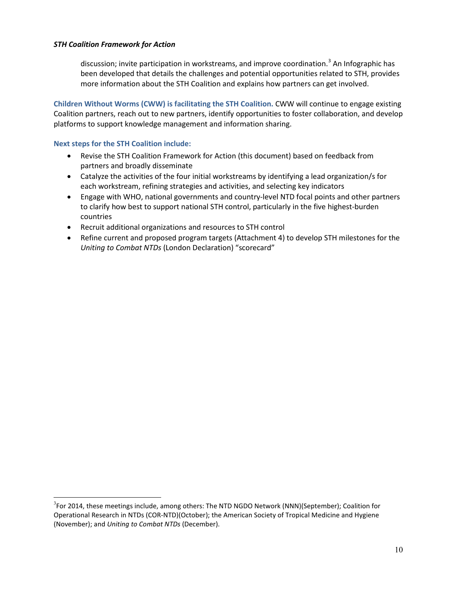discussion; invite participation in workstreams, and improve coordination.<sup>3</sup> An Infographic has been developed that details the challenges and potential opportunities related to STH, provides more information about the STH Coalition and explains how partners can get involved.

**Children Without Worms (CWW) is facilitating the STH Coalition.** CWW will continue to engage existing Coalition partners, reach out to new partners, identify opportunities to foster collaboration, and develop platforms to support knowledge management and information sharing.

### **Next steps for the STH Coalition include:**

- Revise the STH Coalition Framework for Action (this document) based on feedback from partners and broadly disseminate
- Catalyze the activities of the four initial workstreams by identifying a lead organization/s for each workstream, refining strategies and activities, and selecting key indicators
- Engage with WHO, national governments and country-level NTD focal points and other partners to clarify how best to support national STH control, particularly in the five highest-burden countries
- Recruit additional organizations and resources to STH control
- Refine current and proposed program targets (Attachment 4) to develop STH milestones for the *Uniting to Combat NTDs* (London Declaration) "scorecard"

<sup>&</sup>lt;sup>2</sup><br>3  $F$ <sup>3</sup>For 2014, these meetings include, among others: The NTD NGDO Network (NNN)(September); Coalition for Operational Research in NTDs (COR-NTD)(October); the American Society of Tropical Medicine and Hygiene (November); and *Uniting to Combat NTDs* (December).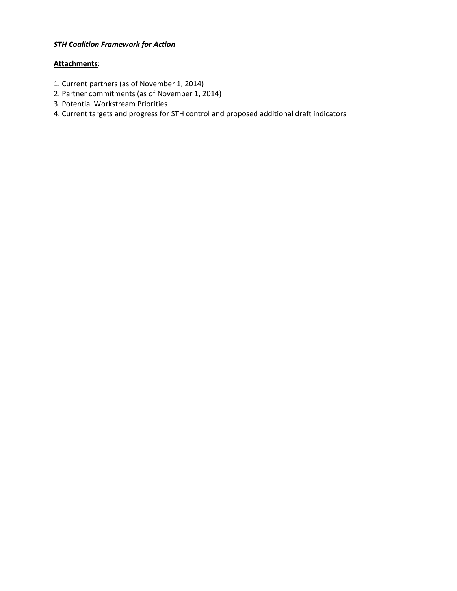### **Attachments**:

- 1. Current partners (as of November 1, 2014)
- 2. Partner commitments (as of November 1, 2014)
- 3. Potential Workstream Priorities
- 4. Current targets and progress for STH control and proposed additional draft indicators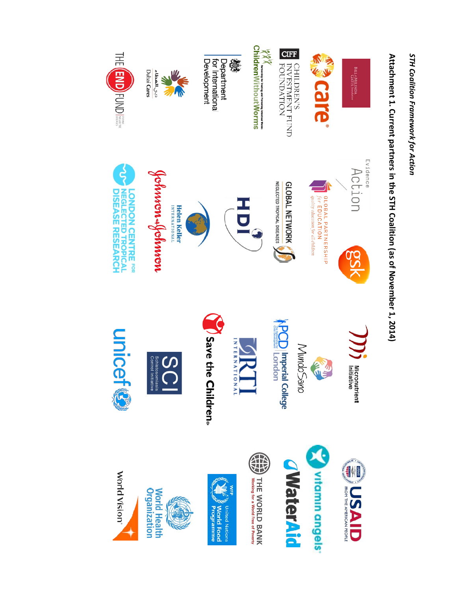

# **Attachment 1. Current partners in the STH Coalition (as of November** Attachment 1. Current partners in the STH Coalition (as of November 1, 2014)

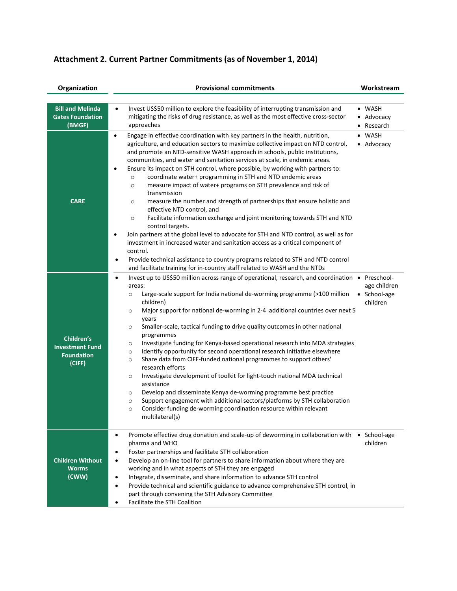| Organization                                                        | <b>Provisional commitments</b>                                                                                                                                                                                                                                                                                                                                                                                                                                                                                                                                                                                                                                                                                                                                                                                                                                                                                                                                                                                                                                                                                                                                                                               | Workstream                                 |
|---------------------------------------------------------------------|--------------------------------------------------------------------------------------------------------------------------------------------------------------------------------------------------------------------------------------------------------------------------------------------------------------------------------------------------------------------------------------------------------------------------------------------------------------------------------------------------------------------------------------------------------------------------------------------------------------------------------------------------------------------------------------------------------------------------------------------------------------------------------------------------------------------------------------------------------------------------------------------------------------------------------------------------------------------------------------------------------------------------------------------------------------------------------------------------------------------------------------------------------------------------------------------------------------|--------------------------------------------|
| <b>Bill and Melinda</b><br><b>Gates Foundation</b><br>(BMGF)        | Invest US\$50 million to explore the feasibility of interrupting transmission and<br>$\bullet$<br>mitigating the risks of drug resistance, as well as the most effective cross-sector<br>approaches                                                                                                                                                                                                                                                                                                                                                                                                                                                                                                                                                                                                                                                                                                                                                                                                                                                                                                                                                                                                          | $\bullet$ WASH<br>• Advocacy<br>• Research |
| <b>CARE</b>                                                         | Engage in effective coordination with key partners in the health, nutrition,<br>$\bullet$<br>agriculture, and education sectors to maximize collective impact on NTD control,<br>and promote an NTD-sensitive WASH approach in schools, public institutions,<br>communities, and water and sanitation services at scale, in endemic areas.<br>Ensure its impact on STH control, where possible, by working with partners to:<br>coordinate water+ programming in STH and NTD endemic areas<br>$\circ$<br>measure impact of water+ programs on STH prevalence and risk of<br>$\circ$<br>transmission<br>measure the number and strength of partnerships that ensure holistic and<br>$\circ$<br>effective NTD control, and<br>Facilitate information exchange and joint monitoring towards STH and NTD<br>$\circ$<br>control targets.<br>Join partners at the global level to advocate for STH and NTD control, as well as for<br>$\bullet$<br>investment in increased water and sanitation access as a critical component of<br>control.<br>Provide technical assistance to country programs related to STH and NTD control<br>٠<br>and facilitate training for in-country staff related to WASH and the NTDs | • WASH<br>• Advocacy                       |
| Children's<br><b>Investment Fund</b><br><b>Foundation</b><br>(CIFF) | Invest up to US\$50 million across range of operational, research, and coordination • Preschool-<br>$\bullet$<br>areas:<br>Large-scale support for India national de-worming programme (>100 million<br>$\circ$<br>children)<br>Major support for national de-worming in 2-4 additional countries over next 5<br>$\circ$<br>years<br>Smaller-scale, tactical funding to drive quality outcomes in other national<br>$\circ$<br>programmes<br>Investigate funding for Kenya-based operational research into MDA strategies<br>$\circ$<br>Identify opportunity for second operational research initiative elsewhere<br>$\circ$<br>Share data from CIFF-funded national programmes to support others'<br>$\circ$<br>research efforts<br>Investigate development of toolkit for light-touch national MDA technical<br>$\circ$<br>assistance<br>Develop and disseminate Kenya de-worming programme best practice<br>$\circ$<br>Support engagement with additional sectors/platforms by STH collaboration<br>$\circ$<br>Consider funding de-worming coordination resource within relevant<br>$\circ$<br>multilateral(s)                                                                                            | age children<br>• School-age<br>children   |
| <b>Children Without</b><br><b>Worms</b><br>(CWW)                    | Promote effective drug donation and scale-up of deworming in collaboration with<br>$\bullet$<br>pharma and WHO<br>Foster partnerships and facilitate STH collaboration<br>٠<br>Develop an on-line tool for partners to share information about where they are<br>$\bullet$<br>working and in what aspects of STH they are engaged<br>Integrate, disseminate, and share information to advance STH control<br>٠<br>Provide technical and scientific guidance to advance comprehensive STH control, in<br>$\bullet$<br>part through convening the STH Advisory Committee                                                                                                                                                                                                                                                                                                                                                                                                                                                                                                                                                                                                                                       | $\bullet$ School-age<br>children           |

• Facilitate the STH Coalition

# **Attachment 2. Current Partner Commitments (as of November 1, 2014)**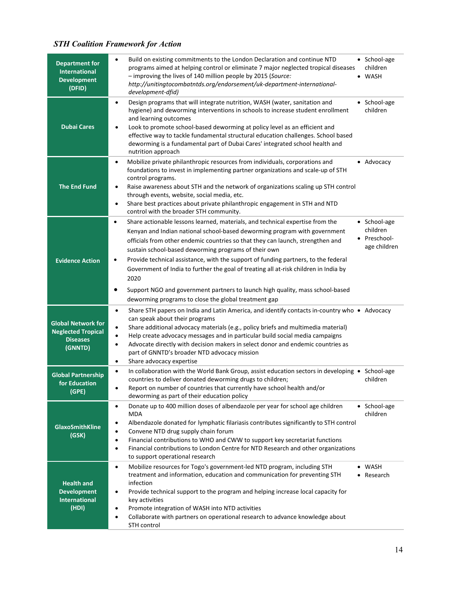| <b>Department for</b><br><b>International</b><br><b>Development</b><br>(DFID)        | Build on existing commitments to the London Declaration and continue NTD<br>• School-age<br>$\bullet$<br>programs aimed at helping control or eliminate 7 major neglected tropical diseases<br>children<br>- improving the lives of 140 million people by 2015 (Source:<br><b>WASH</b><br>http://unitingtocombatntds.org/endorsement/uk-department-international-<br>development-dfid)                                                                                                                                                                                                                                                                                                                          |
|--------------------------------------------------------------------------------------|-----------------------------------------------------------------------------------------------------------------------------------------------------------------------------------------------------------------------------------------------------------------------------------------------------------------------------------------------------------------------------------------------------------------------------------------------------------------------------------------------------------------------------------------------------------------------------------------------------------------------------------------------------------------------------------------------------------------|
| <b>Dubai Cares</b>                                                                   | Design programs that will integrate nutrition, WASH (water, sanitation and<br>• School-age<br>$\bullet$<br>hygiene) and deworming interventions in schools to increase student enrollment<br>children<br>and learning outcomes<br>Look to promote school-based deworming at policy level as an efficient and<br>$\bullet$<br>effective way to tackle fundamental structural education challenges. School based<br>deworming is a fundamental part of Dubai Cares' integrated school health and<br>nutrition approach                                                                                                                                                                                            |
| <b>The End Fund</b>                                                                  | Mobilize private philanthropic resources from individuals, corporations and<br>• Advocacy<br>$\bullet$<br>foundations to invest in implementing partner organizations and scale-up of STH<br>control programs.<br>Raise awareness about STH and the network of organizations scaling up STH control<br>$\bullet$<br>through events, website, social media, etc.<br>Share best practices about private philanthropic engagement in STH and NTD<br>$\bullet$<br>control with the broader STH community.                                                                                                                                                                                                           |
| <b>Evidence Action</b>                                                               | Share actionable lessons learned, materials, and technical expertise from the<br>• School-age<br>$\bullet$<br>children<br>Kenyan and Indian national school-based deworming program with government<br>Preschool-<br>officials from other endemic countries so that they can launch, strengthen and<br>age children<br>sustain school-based deworming programs of their own<br>Provide technical assistance, with the support of funding partners, to the federal<br>٠<br>Government of India to further the goal of treating all at-risk children in India by<br>2020<br>Support NGO and government partners to launch high quality, mass school-based<br>deworming programs to close the global treatment gap |
| <b>Global Network for</b><br><b>Neglected Tropical</b><br><b>Diseases</b><br>(GNNTD) | Share STH papers on India and Latin America, and identify contacts in-country who ● Advocacy<br>$\bullet$<br>can speak about their programs<br>Share additional advocacy materials (e.g., policy briefs and multimedia material)<br>$\bullet$<br>Help create advocacy messages and in particular build social media campaigns<br>$\bullet$<br>Advocate directly with decision makers in select donor and endemic countries as<br>$\bullet$<br>part of GNNTD's broader NTD advocacy mission<br>Share advocacy expertise<br>$\bullet$                                                                                                                                                                             |
| <b>Global Partnership</b><br>for Education<br>(GPE)                                  | In collaboration with the World Bank Group, assist education sectors in developing • School-age<br>$\bullet$<br>countries to deliver donated deworming drugs to children;<br>children<br>Report on number of countries that currently have school health and/or<br>deworming as part of their education policy                                                                                                                                                                                                                                                                                                                                                                                                  |
| <b>GlaxoSmithKline</b><br>(GSK)                                                      | Donate up to 400 million doses of albendazole per year for school age children<br>• School-age<br>$\bullet$<br><b>MDA</b><br>children<br>Albendazole donated for lymphatic filariasis contributes significantly to STH control<br>$\bullet$<br>Convene NTD drug supply chain forum<br>$\bullet$<br>Financial contributions to WHO and CWW to support key secretariat functions<br>$\bullet$<br>Financial contributions to London Centre for NTD Research and other organizations<br>$\bullet$<br>to support operational research                                                                                                                                                                                |
| <b>Health and</b><br><b>Development</b><br><b>International</b><br>(HDI)             | Mobilize resources for Togo's government-led NTD program, including STH<br>• WASH<br>$\bullet$<br>treatment and information, education and communication for preventing STH<br>Research<br>infection<br>Provide technical support to the program and helping increase local capacity for<br>٠<br>key activities<br>Promote integration of WASH into NTD activities<br>٠<br>Collaborate with partners on operational research to advance knowledge about<br>$\bullet$<br>STH control                                                                                                                                                                                                                             |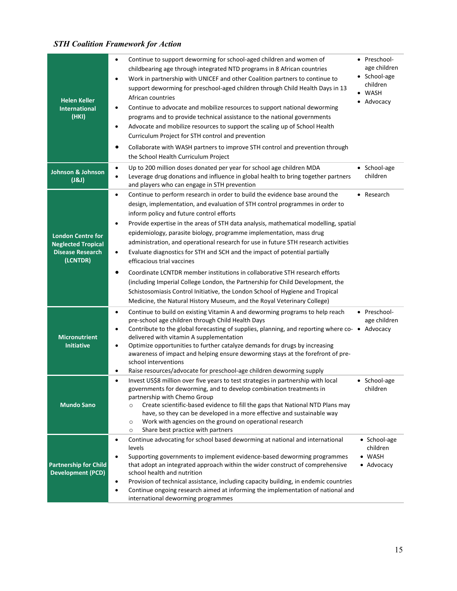| <b>Helen Keller</b><br><b>International</b><br>(HKI)                                         | Continue to support deworming for school-aged children and women of<br>$\bullet$<br>childbearing age through integrated NTD programs in 8 African countries<br>Work in partnership with UNICEF and other Coalition partners to continue to<br>$\bullet$<br>support deworming for preschool-aged children through Child Health Days in 13<br>African countries<br>Continue to advocate and mobilize resources to support national deworming<br>٠<br>programs and to provide technical assistance to the national governments<br>Advocate and mobilize resources to support the scaling up of School Health<br>$\bullet$<br>Curriculum Project for STH control and prevention<br>Collaborate with WASH partners to improve STH control and prevention through<br>٠<br>the School Health Curriculum Project                                                                                                                                                  | • Preschool-<br>age children<br>• School-age<br>children<br>WASH<br>Advocacy |
|----------------------------------------------------------------------------------------------|-----------------------------------------------------------------------------------------------------------------------------------------------------------------------------------------------------------------------------------------------------------------------------------------------------------------------------------------------------------------------------------------------------------------------------------------------------------------------------------------------------------------------------------------------------------------------------------------------------------------------------------------------------------------------------------------------------------------------------------------------------------------------------------------------------------------------------------------------------------------------------------------------------------------------------------------------------------|------------------------------------------------------------------------------|
| <b>Johnson &amp; Johnson</b><br>(181)                                                        | Up to 200 million doses donated per year for school age children MDA<br>$\bullet$<br>Leverage drug donations and influence in global health to bring together partners<br>$\bullet$<br>and players who can engage in STH prevention                                                                                                                                                                                                                                                                                                                                                                                                                                                                                                                                                                                                                                                                                                                       | School-age<br>children                                                       |
| <b>London Centre for</b><br><b>Neglected Tropical</b><br><b>Disease Research</b><br>(LCNTDR) | Continue to perform research in order to build the evidence base around the<br>$\bullet$<br>design, implementation, and evaluation of STH control programmes in order to<br>inform policy and future control efforts<br>Provide expertise in the areas of STH data analysis, mathematical modelling, spatial<br>$\bullet$<br>epidemiology, parasite biology, programme implementation, mass drug<br>administration, and operational research for use in future STH research activities<br>Evaluate diagnostics for STH and SCH and the impact of potential partially<br>$\bullet$<br>efficacious trial vaccines<br>Coordinate LCNTDR member institutions in collaborative STH research efforts<br>$\bullet$<br>(including Imperial College London, the Partnership for Child Development, the<br>Schistosomiasis Control Initiative, the London School of Hygiene and Tropical<br>Medicine, the Natural History Museum, and the Royal Veterinary College) | • Research                                                                   |
| <b>Micronutrient</b><br><b>Initiative</b>                                                    | Continue to build on existing Vitamin A and deworming programs to help reach<br>$\bullet$<br>pre-school age children through Child Health Days<br>Contribute to the global forecasting of supplies, planning, and reporting where co- . Advocacy<br>$\bullet$<br>delivered with vitamin A supplementation<br>Optimize opportunities to further catalyze demands for drugs by increasing<br>$\bullet$<br>awareness of impact and helping ensure deworming stays at the forefront of pre-<br>school interventions<br>Raise resources/advocate for preschool-age children deworming supply<br>$\bullet$                                                                                                                                                                                                                                                                                                                                                      | • Preschool-<br>age children                                                 |
| <b>Mundo Sano</b>                                                                            | Invest US\$8 million over five years to test strategies in partnership with local<br>$\bullet$<br>governments for deworming, and to develop combination treatments in<br>partnership with Chemo Group<br>Create scientific-based evidence to fill the gaps that National NTD Plans may<br>$\circ$<br>have, so they can be developed in a more effective and sustainable way<br>Work with agencies on the ground on operational research<br>$\circ$<br>Share best practice with partners<br>$\circ$                                                                                                                                                                                                                                                                                                                                                                                                                                                        | • School-age<br>children                                                     |
| <b>Partnership for Child</b><br><b>Development (PCD)</b>                                     | Continue advocating for school based deworming at national and international<br>$\bullet$<br>levels<br>Supporting governments to implement evidence-based deworming programmes<br>$\bullet$<br>that adopt an integrated approach within the wider construct of comprehensive<br>school health and nutrition<br>Provision of technical assistance, including capacity building, in endemic countries<br>٠<br>Continue ongoing research aimed at informing the implementation of national and<br>$\bullet$<br>international deworming programmes                                                                                                                                                                                                                                                                                                                                                                                                            | • School-age<br>children<br>• WASH<br>• Advocacy                             |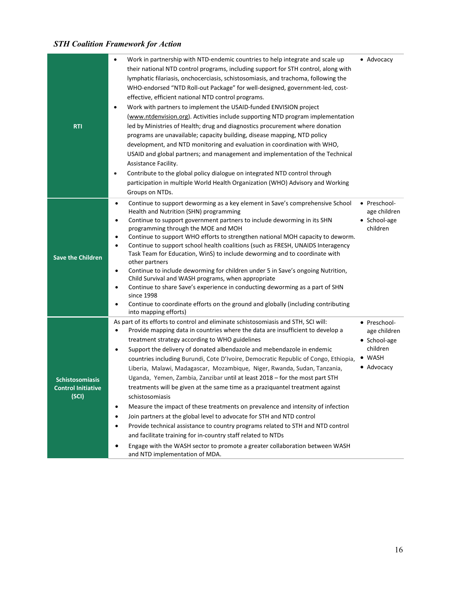| <b>RTI</b>                                                   | Work in partnership with NTD-endemic countries to help integrate and scale up<br>their national NTD control programs, including support for STH control, along with<br>lymphatic filariasis, onchocerciasis, schistosomiasis, and trachoma, following the<br>WHO-endorsed "NTD Roll-out Package" for well-designed, government-led, cost-<br>effective, efficient national NTD control programs.<br>Work with partners to implement the USAID-funded ENVISION project<br>(www.ntdenvision.org). Activities include supporting NTD program implementation<br>led by Ministries of Health; drug and diagnostics procurement where donation<br>programs are unavailable; capacity building, disease mapping, NTD policy<br>development, and NTD monitoring and evaluation in coordination with WHO,<br>USAID and global partners; and management and implementation of the Technical<br>Assistance Facility.<br>Contribute to the global policy dialogue on integrated NTD control through<br>$\bullet$<br>participation in multiple World Health Organization (WHO) Advisory and Working<br>Groups on NTDs.                  | • Advocacy                                                                       |
|--------------------------------------------------------------|----------------------------------------------------------------------------------------------------------------------------------------------------------------------------------------------------------------------------------------------------------------------------------------------------------------------------------------------------------------------------------------------------------------------------------------------------------------------------------------------------------------------------------------------------------------------------------------------------------------------------------------------------------------------------------------------------------------------------------------------------------------------------------------------------------------------------------------------------------------------------------------------------------------------------------------------------------------------------------------------------------------------------------------------------------------------------------------------------------------------------|----------------------------------------------------------------------------------|
| <b>Save the Children</b>                                     | Continue to support deworming as a key element in Save's comprehensive School<br>$\bullet$<br>Health and Nutrition (SHN) programming<br>Continue to support government partners to include deworming in its SHN<br>$\bullet$<br>programming through the MOE and MOH<br>Continue to support WHO efforts to strengthen national MOH capacity to deworm.<br>٠<br>Continue to support school health coalitions (such as FRESH, UNAIDS Interagency<br>$\bullet$<br>Task Team for Education, WinS) to include deworming and to coordinate with<br>other partners<br>Continue to include deworming for children under 5 in Save's ongoing Nutrition,<br>$\bullet$<br>Child Survival and WASH programs, when appropriate<br>Continue to share Save's experience in conducting deworming as a part of SHN<br>٠<br>since 1998<br>Continue to coordinate efforts on the ground and globally (including contributing<br>into mapping efforts)                                                                                                                                                                                          | • Preschool-<br>age children<br>• School-age<br>children                         |
| <b>Schistosomiasis</b><br><b>Control Initiative</b><br>(SCI) | As part of its efforts to control and eliminate schistosomiasis and STH, SCI will:<br>Provide mapping data in countries where the data are insufficient to develop a<br>treatment strategy according to WHO guidelines<br>Support the delivery of donated albendazole and mebendazole in endemic<br>$\bullet$<br>countries including Burundi, Cote D'Ivoire, Democratic Republic of Congo, Ethiopia,<br>Liberia, Malawi, Madagascar, Mozambique, Niger, Rwanda, Sudan, Tanzania,<br>Uganda, Yemen, Zambia, Zanzibar until at least 2018 - for the most part STH<br>treatments will be given at the same time as a praziquantel treatment against<br>schistosomiasis<br>Measure the impact of these treatments on prevalence and intensity of infection<br>٠<br>Join partners at the global level to advocate for STH and NTD control<br>٠<br>Provide technical assistance to country programs related to STH and NTD control<br>$\bullet$<br>and facilitate training for in-country staff related to NTDs<br>Engage with the WASH sector to promote a greater collaboration between WASH<br>and NTD implementation of MDA. | • Preschool-<br>age children<br>• School-age<br>children<br>• WASH<br>• Advocacy |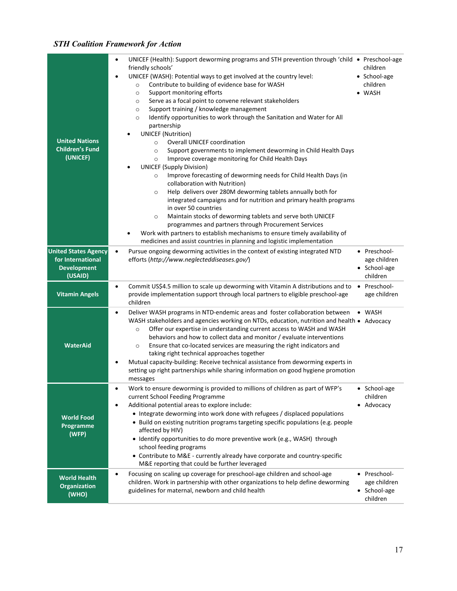| <b>United Nations</b><br><b>Children's Fund</b><br>(UNICEF)<br><b>United States Agency</b><br>for International | UNICEF (Health): Support deworming programs and STH prevention through 'child $\bullet$ Preschool-age<br>$\bullet$<br>friendly schools'<br>UNICEF (WASH): Potential ways to get involved at the country level:<br>Contribute to building of evidence base for WASH<br>$\circ$<br>Support monitoring efforts<br>$\circ$<br>Serve as a focal point to convene relevant stakeholders<br>$\circ$<br>Support training / knowledge management<br>$\circ$<br>Identify opportunities to work through the Sanitation and Water for All<br>$\circ$<br>partnership<br><b>UNICEF</b> (Nutrition)<br><b>Overall UNICEF coordination</b><br>$\circ$<br>Support governments to implement deworming in Child Health Days<br>$\circ$<br>Improve coverage monitoring for Child Health Days<br>$\circ$<br><b>UNICEF (Supply Division)</b><br>Improve forecasting of deworming needs for Child Health Days (in<br>$\circ$<br>collaboration with Nutrition)<br>Help delivers over 280M deworming tablets annually both for<br>$\circ$<br>integrated campaigns and for nutrition and primary health programs<br>in over 50 countries<br>Maintain stocks of deworming tablets and serve both UNICEF<br>$\circ$<br>programmes and partners through Procurement Services<br>Work with partners to establish mechanisms to ensure timely availability of<br>medicines and assist countries in planning and logistic implementation<br>Pursue ongoing deworming activities in the context of existing integrated NTD<br>$\bullet$<br>efforts (http://www.neglecteddiseases.gov/) | children<br>• School-age<br>children<br>• WASH<br>• Preschool-<br>age children |
|-----------------------------------------------------------------------------------------------------------------|-------------------------------------------------------------------------------------------------------------------------------------------------------------------------------------------------------------------------------------------------------------------------------------------------------------------------------------------------------------------------------------------------------------------------------------------------------------------------------------------------------------------------------------------------------------------------------------------------------------------------------------------------------------------------------------------------------------------------------------------------------------------------------------------------------------------------------------------------------------------------------------------------------------------------------------------------------------------------------------------------------------------------------------------------------------------------------------------------------------------------------------------------------------------------------------------------------------------------------------------------------------------------------------------------------------------------------------------------------------------------------------------------------------------------------------------------------------------------------------------------------------------------------------------------------|--------------------------------------------------------------------------------|
| <b>Development</b><br>(USAID)                                                                                   |                                                                                                                                                                                                                                                                                                                                                                                                                                                                                                                                                                                                                                                                                                                                                                                                                                                                                                                                                                                                                                                                                                                                                                                                                                                                                                                                                                                                                                                                                                                                                       | • School-age<br>children                                                       |
| <b>Vitamin Angels</b>                                                                                           | Commit US\$4.5 million to scale up deworming with Vitamin A distributions and to<br>$\bullet$<br>provide implementation support through local partners to eligible preschool-age<br>children                                                                                                                                                                                                                                                                                                                                                                                                                                                                                                                                                                                                                                                                                                                                                                                                                                                                                                                                                                                                                                                                                                                                                                                                                                                                                                                                                          | • Preschool-<br>age children                                                   |
| <b>WaterAid</b>                                                                                                 | Deliver WASH programs in NTD-endemic areas and foster collaboration between<br>$\bullet$<br>WASH stakeholders and agencies working on NTDs, education, nutrition and health • Advocacy<br>Offer our expertise in understanding current access to WASH and WASH<br>$\circ$<br>behaviors and how to collect data and monitor / evaluate interventions<br>Ensure that co-located services are measuring the right indicators and<br>$\circ$<br>taking right technical approaches together<br>Mutual capacity-building: Receive technical assistance from deworming experts in<br>setting up right partnerships while sharing information on good hygiene promotion<br>messages                                                                                                                                                                                                                                                                                                                                                                                                                                                                                                                                                                                                                                                                                                                                                                                                                                                                           | • WASH                                                                         |
| <b>World Food</b><br>Programme<br>(WFP)                                                                         | Work to ensure deworming is provided to millions of children as part of WFP's<br>current School Feeding Programme<br>Additional potential areas to explore include:<br>$\bullet$<br>• Integrate deworming into work done with refugees / displaced populations<br>• Build on existing nutrition programs targeting specific populations (e.g. people<br>affected by HIV)<br>· Identify opportunities to do more preventive work (e.g., WASH) through<br>school feeding programs<br>• Contribute to M&E - currently already have corporate and country-specific<br>M&E reporting that could be further leveraged                                                                                                                                                                                                                                                                                                                                                                                                                                                                                                                                                                                                                                                                                                                                                                                                                                                                                                                                       | School-age<br>children<br>• Advocacy                                           |
| <b>World Health</b><br><b>Organization</b><br>(WHO)                                                             | Focusing on scaling up coverage for preschool-age children and school-age<br>$\bullet$<br>children. Work in partnership with other organizations to help define deworming<br>guidelines for maternal, newborn and child health                                                                                                                                                                                                                                                                                                                                                                                                                                                                                                                                                                                                                                                                                                                                                                                                                                                                                                                                                                                                                                                                                                                                                                                                                                                                                                                        | • Preschool-<br>age children<br>School-age<br>children                         |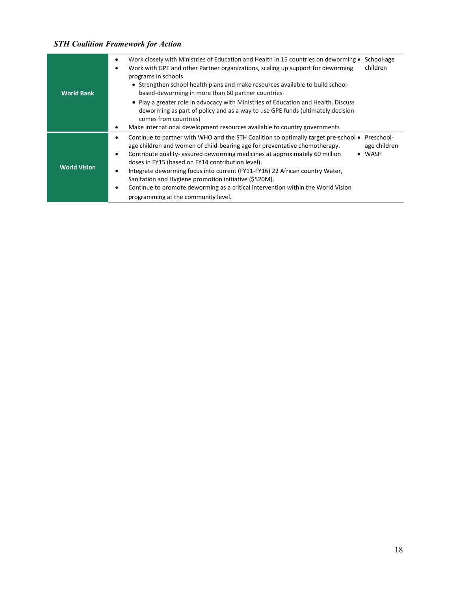| <b>World Bank</b>   | Work closely with Ministries of Education and Health in 15 countries on deworming ●<br>School-age<br>٠<br>children<br>Work with GPE and other Partner organizations, scaling up support for deworming<br>programs in schools<br>• Strengthen school health plans and make resources available to build school-<br>based-deworming in more than 60 partner countries<br>• Play a greater role in advocacy with Ministries of Education and Health. Discuss<br>deworming as part of policy and as a way to use GPE funds (ultimately decision<br>comes from countries)<br>Make international development resources available to country governments<br>٠ |
|---------------------|--------------------------------------------------------------------------------------------------------------------------------------------------------------------------------------------------------------------------------------------------------------------------------------------------------------------------------------------------------------------------------------------------------------------------------------------------------------------------------------------------------------------------------------------------------------------------------------------------------------------------------------------------------|
| <b>World Vision</b> | Continue to partner with WHO and the STH Coalition to optimally target pre-school •<br>Preschool-<br>٠<br>age children and women of child-bearing age for preventative chemotherapy.<br>age children<br>Contribute quality- assured deworming medicines at approximately 60 million<br>WASH<br>٠<br>doses in FY15 (based on FY14 contribution level).<br>Integrate deworming focus into current (FY11-FY16) 22 African country Water,<br>٠<br>Sanitation and Hygiene promotion initiative (\$520M).<br>Continue to promote deworming as a critical intervention within the World Vision<br>٠<br>programming at the community level.                    |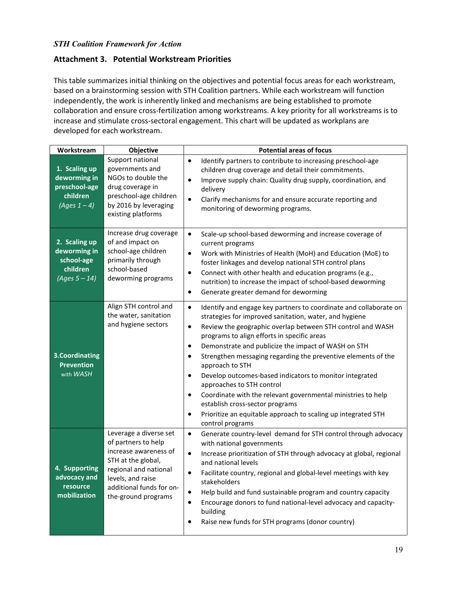### **Attachment 3. Potential Workstream Priorities**

This table summarizes initial thinking on the objectives and potential focus areas for each workstream, based on a brainstorming session with STH Coalition partners. While each workstream will function independently, the work is inherently linked and mechanisms are being established to promote collaboration and ensure cross-fertilization among workstreams. A key priority for all workstreams is to increase and stimulate cross-sectoral engagement. This chart will be updated as workplans are developed for each workstream.

| Workstream                                                                    | Objective                                                                                                                                                                                     | <b>Potential areas of focus</b>                                                                                                                                                                                                                                                                                                                                                                                                                                                                                                                                                                                                                                                                                                                                |
|-------------------------------------------------------------------------------|-----------------------------------------------------------------------------------------------------------------------------------------------------------------------------------------------|----------------------------------------------------------------------------------------------------------------------------------------------------------------------------------------------------------------------------------------------------------------------------------------------------------------------------------------------------------------------------------------------------------------------------------------------------------------------------------------------------------------------------------------------------------------------------------------------------------------------------------------------------------------------------------------------------------------------------------------------------------------|
| 1. Scaling up<br>deworming in<br>preschool-age<br>children<br>(Ages $1 - 4$ ) | Support national<br>governments and<br>NGOs to double the<br>drug coverage in<br>preschool-age children<br>by 2016 by leveraging<br>existing platforms                                        | Identify partners to contribute to increasing preschool-age<br>$\bullet$<br>children drug coverage and detail their commitments.<br>Improve supply chain: Quality drug supply, coordination, and<br>$\bullet$<br>delivery<br>$\bullet$<br>Clarify mechanisms for and ensure accurate reporting and<br>monitoring of deworming programs.                                                                                                                                                                                                                                                                                                                                                                                                                        |
| 2. Scaling up<br>deworming in<br>school-age<br>children<br>$(Ages 5 - 14)$    | Increase drug coverage<br>of and impact on<br>school-age children<br>primarily through<br>school-based<br>deworming programs                                                                  | $\bullet$<br>Scale-up school-based deworming and increase coverage of<br>current programs<br>Work with Ministries of Health (MoH) and Education (MoE) to<br>$\bullet$<br>foster linkages and develop national STH control plans<br>Connect with other health and education programs (e.g.,<br>$\bullet$<br>nutrition) to increase the impact of school-based deworming<br>Generate greater demand for deworming<br>$\bullet$                                                                                                                                                                                                                                                                                                                                   |
| 3. Coordinating<br><b>Prevention</b><br>with WASH                             | Align STH control and<br>the water, sanitation<br>and hygiene sectors                                                                                                                         | $\bullet$<br>Identify and engage key partners to coordinate and collaborate on<br>strategies for improved sanitation, water, and hygiene<br>Review the geographic overlap between STH control and WASH<br>$\bullet$<br>programs to align efforts in specific areas<br>Demonstrate and publicize the impact of WASH on STH<br>$\bullet$<br>Strengthen messaging regarding the preventive elements of the<br>$\bullet$<br>approach to STH<br>Develop outcomes-based indicators to monitor integrated<br>$\bullet$<br>approaches to STH control<br>Coordinate with the relevant governmental ministries to help<br>$\bullet$<br>establish cross-sector programs<br>Prioritize an equitable approach to scaling up integrated STH<br>$\bullet$<br>control programs |
| 4. Supporting<br>advocacy and<br>resource<br>mobilization                     | Leverage a diverse set<br>of partners to help<br>increase awareness of<br>STH at the global,<br>regional and national<br>levels, and raise<br>additional funds for on-<br>the-ground programs | $\bullet$<br>Generate country-level demand for STH control through advocacy<br>with national governments<br>Increase prioritization of STH through advocacy at global, regional<br>$\bullet$<br>and national levels<br>Facilitate country, regional and global-level meetings with key<br>$\bullet$<br>stakeholders<br>Help build and fund sustainable program and country capacity<br>$\bullet$<br>Encourage donors to fund national-level advocacy and capacity-<br>$\bullet$<br>building<br>Raise new funds for STH programs (donor country)<br>٠                                                                                                                                                                                                           |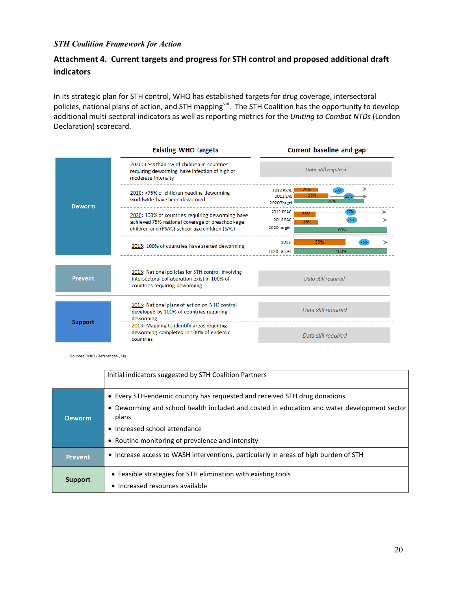# **Attachment 4. Current targets and progress for STH control and proposed additional draft indicators**

In its strategic plan for STH control, WHO has established targets for drug coverage, intersectoral policies, national plans of action, and STH mapping<sup>viii</sup>. The STH Coalition has the opportunity to develop additional multi-sectoral indicators as well as reporting metrics for the *Uniting to Combat NTDs* (London Declaration) scorecard.

|                | <b>Existing WHO targets</b>                                                                                                                          | Current baseline and gap                                          |  |
|----------------|------------------------------------------------------------------------------------------------------------------------------------------------------|-------------------------------------------------------------------|--|
| <b>Deworm</b>  | 2020: Less than 1% of children in countries<br>requiring deworming have infection of high or<br>moderate intensity                                   | Data still required                                               |  |
|                | 2020: >75% of children needing deworming<br>worldwide have been dewormed                                                                             | <b>2012 PSAC</b><br>2012 SAC<br>75%<br>2020 Target.               |  |
|                | 2020: 100% of countries requiring deworming have<br>achieved 75% national coverage of preschool-age<br>children and (PSAC) school-age children (SAC) | <b>2012 PSAC</b><br>23%<br>2012 SAC<br>25%<br>2020 target<br>100% |  |
|                | 2015: 100% of countries have started deworming                                                                                                       | 2012<br>55%<br>2020 Target<br>100%                                |  |
| <b>Prevent</b> | 2015: National policies for STH control involving<br>intersectoral collaboration exist in 100% of<br>countries requiring deworming                   | Data still required                                               |  |
| <b>Support</b> | 2015: National plans of action on NTD control<br>developed by 100% of countries requiring<br>deworming                                               | Data still required                                               |  |
|                | 2013: Mapping to identify areas requiring<br>deworming completed in 100% of endemic<br>countries                                                     | Data still required                                               |  |

Sources: WHO (References i, vii)

|                | Initial indicators suggested by STH Coalition Partners                                                                                                                                                                                                                 |
|----------------|------------------------------------------------------------------------------------------------------------------------------------------------------------------------------------------------------------------------------------------------------------------------|
| Deworm         | • Every STH-endemic country has requested and received STH drug donations<br>• Deworming and school health included and costed in education and water development sector<br>plans<br>• Increased school attendance<br>• Routine monitoring of prevalence and intensity |
| <b>Prevent</b> | • Increase access to WASH interventions, particularly in areas of high burden of STH                                                                                                                                                                                   |
| <b>Support</b> | • Feasible strategies for STH elimination with existing tools<br>• Increased resources available                                                                                                                                                                       |